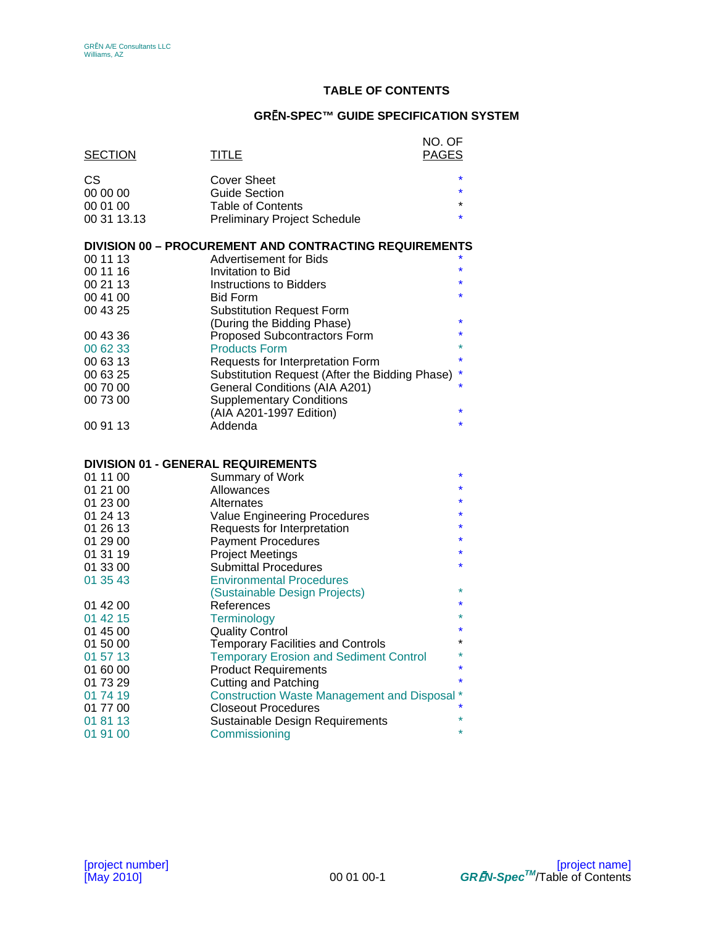# **TABLE OF CONTENTS**

# **GR**Ē**N-SPEC™ GUIDE SPECIFICATION SYSTEM**

| <b>SECTION</b>                            | <b>TITLE</b>                                                                              | NO. OF<br><b>PAGES</b> |
|-------------------------------------------|-------------------------------------------------------------------------------------------|------------------------|
|                                           |                                                                                           | $\star$                |
| СS<br>00 00 00                            | <b>Cover Sheet</b><br><b>Guide Section</b>                                                |                        |
| 00 01 00                                  | <b>Table of Contents</b>                                                                  | $\star$                |
| 00 31 13.13                               | <b>Preliminary Project Schedule</b>                                                       |                        |
|                                           |                                                                                           |                        |
|                                           | <b>DIVISION 00 - PROCUREMENT AND CONTRACTING REQUIREMENTS</b>                             |                        |
| 00 11 13                                  | Advertisement for Bids                                                                    |                        |
| 00 11 16                                  | Invitation to Bid                                                                         |                        |
| 00 21 13                                  | <b>Instructions to Bidders</b>                                                            | $\star$                |
| 00 41 00                                  | <b>Bid Form</b>                                                                           |                        |
| 00 43 25                                  | <b>Substitution Request Form</b>                                                          |                        |
|                                           | (During the Bidding Phase)                                                                |                        |
| 00 43 36                                  | <b>Proposed Subcontractors Form</b>                                                       |                        |
| 00 62 33<br>00 63 13                      | <b>Products Form</b>                                                                      |                        |
| 00 63 25                                  | Requests for Interpretation Form<br>Substitution Request (After the Bidding Phase)        |                        |
| 00 70 00                                  | General Conditions (AIA A201)                                                             |                        |
| 00 73 00                                  | <b>Supplementary Conditions</b>                                                           |                        |
|                                           | (AIA A201-1997 Edition)                                                                   |                        |
| 00 91 13                                  | Addenda                                                                                   |                        |
|                                           |                                                                                           |                        |
| <b>DIVISION 01 - GENERAL REQUIREMENTS</b> |                                                                                           |                        |
| 01 11 00                                  | Summary of Work                                                                           |                        |
| 01 21 00                                  | Allowances                                                                                |                        |
| 01 23 00                                  | Alternates                                                                                |                        |
| 01 24 13                                  | <b>Value Engineering Procedures</b>                                                       |                        |
| 01 26 13                                  | Requests for Interpretation                                                               |                        |
| 01 29 00                                  | <b>Payment Procedures</b>                                                                 |                        |
| 01 31 19                                  | <b>Project Meetings</b>                                                                   |                        |
| 01 33 00                                  | <b>Submittal Procedures</b>                                                               |                        |
| 01 35 43                                  | <b>Environmental Procedures</b>                                                           |                        |
|                                           | (Sustainable Design Projects)                                                             |                        |
| 01 42 00                                  | References                                                                                |                        |
| 01 42 15                                  | Terminology                                                                               |                        |
| 01 45 00                                  | <b>Quality Control</b>                                                                    |                        |
| 01 50 00<br>01 57 13                      | <b>Temporary Facilities and Controls</b><br><b>Temporary Erosion and Sediment Control</b> |                        |
| 01 60 00                                  | <b>Product Requirements</b>                                                               |                        |
| 01 73 29                                  | <b>Cutting and Patching</b>                                                               |                        |
| 01 74 19                                  | <b>Construction Waste Management and Disposal *</b>                                       |                        |
| 01 77 00                                  | <b>Closeout Procedures</b>                                                                |                        |
| 01 81 13                                  | Sustainable Design Requirements                                                           |                        |
| 01 91 00                                  | Commissioning                                                                             | $\star$                |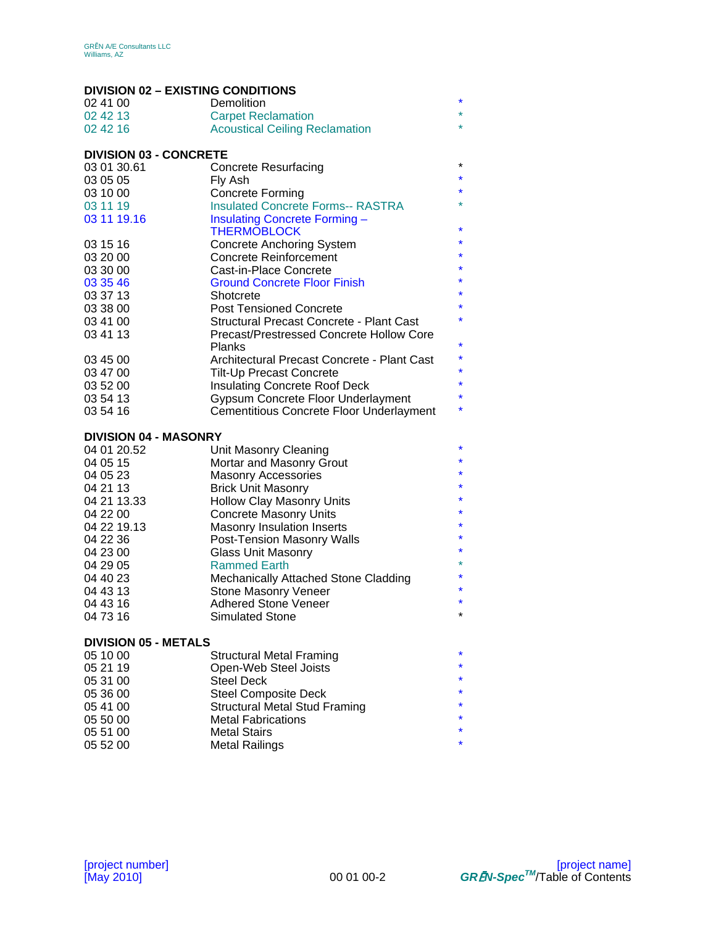# **DIVISION 02 – EXISTING CONDITIONS**

| <u> DIVISIUN UZ – EAISTING GUNDITIUNS</u> |                                                 |         |
|-------------------------------------------|-------------------------------------------------|---------|
| 02 41 00                                  | Demolition                                      | *       |
| 02 42 13                                  | <b>Carpet Reclamation</b>                       |         |
| 02 42 16                                  | <b>Acoustical Ceiling Reclamation</b>           |         |
| <b>DIVISION 03 - CONCRETE</b>             |                                                 |         |
| 03 01 30.61                               | <b>Concrete Resurfacing</b>                     | $\star$ |
| 03 05 05                                  | Fly Ash                                         | $\ast$  |
| 03 10 00                                  | Concrete Forming                                |         |
| 03 11 19                                  | <b>Insulated Concrete Forms-- RASTRA</b>        |         |
| 03 11 19.16                               | Insulating Concrete Forming-                    |         |
|                                           | <b>THERMOBLOCK</b>                              | *       |
| 03 15 16                                  | <b>Concrete Anchoring System</b>                | *       |
| 03 20 00                                  | <b>Concrete Reinforcement</b>                   | *       |
|                                           |                                                 | $\star$ |
| 03 30 00                                  | Cast-in-Place Concrete                          | *       |
| 03 35 46                                  | <b>Ground Concrete Floor Finish</b>             | *       |
| 03 37 13                                  | Shotcrete                                       | $\star$ |
| 03 38 00                                  | <b>Post Tensioned Concrete</b>                  |         |
| 03 41 00                                  | <b>Structural Precast Concrete - Plant Cast</b> |         |
| 03 41 13                                  | Precast/Prestressed Concrete Hollow Core        |         |
|                                           | <b>Planks</b>                                   | *       |
| 03 45 00                                  | Architectural Precast Concrete - Plant Cast     | *       |
| 03 47 00                                  | Tilt-Up Precast Concrete                        | *       |
| 03 52 00                                  | <b>Insulating Concrete Roof Deck</b>            | $\star$ |
| 03 54 13                                  | Gypsum Concrete Floor Underlayment              | *       |
| 03 54 16                                  | Cementitious Concrete Floor Underlayment        | *       |
| <b>DIVISION 04 - MASONRY</b>              |                                                 |         |
| 04 01 20.52                               | Unit Masonry Cleaning                           | *       |
| 04 05 15                                  | Mortar and Masonry Grout                        | *       |
| 04 05 23                                  | <b>Masonry Accessories</b>                      | *       |
| 04 21 13                                  | <b>Brick Unit Masonry</b>                       |         |
| 04 21 13.33                               | <b>Hollow Clay Masonry Units</b>                | $\ast$  |
| 04 22 00                                  | <b>Concrete Masonry Units</b>                   | *       |
| 04 22 19.13                               | <b>Masonry Insulation Inserts</b>               | *       |
| 04 22 36                                  | <b>Post-Tension Masonry Walls</b>               | $\ast$  |
| 04 23 00                                  | <b>Glass Unit Masonry</b>                       | *       |
| 04 29 05                                  | <b>Rammed Earth</b>                             |         |
|                                           |                                                 | *       |
| 04 40 23                                  | Mechanically Attached Stone Cladding            | ¥       |
| 04 43 13                                  | <b>Stone Masonry Veneer</b>                     |         |
| 04 43 16                                  | <b>Adhered Stone Veneer</b>                     | $\star$ |
| 04 73 16                                  | <b>Simulated Stone</b>                          |         |
| <b>DIVISION 05 - METALS</b>               |                                                 |         |
| 05 10 00                                  | <b>Structural Metal Framing</b>                 |         |
| 05 21 19                                  | Open-Web Steel Joists                           |         |
| 05 31 00                                  | <b>Steel Deck</b>                               |         |
| 05 36 00                                  | <b>Steel Composite Deck</b>                     |         |
| 05 41 00                                  | <b>Structural Metal Stud Framing</b>            |         |
| 05 50 00                                  | <b>Metal Fabrications</b>                       |         |
|                                           |                                                 |         |

05 51 00 Metal Stairs **\*** \* 05 52 00 Metal Railings **\***  $*$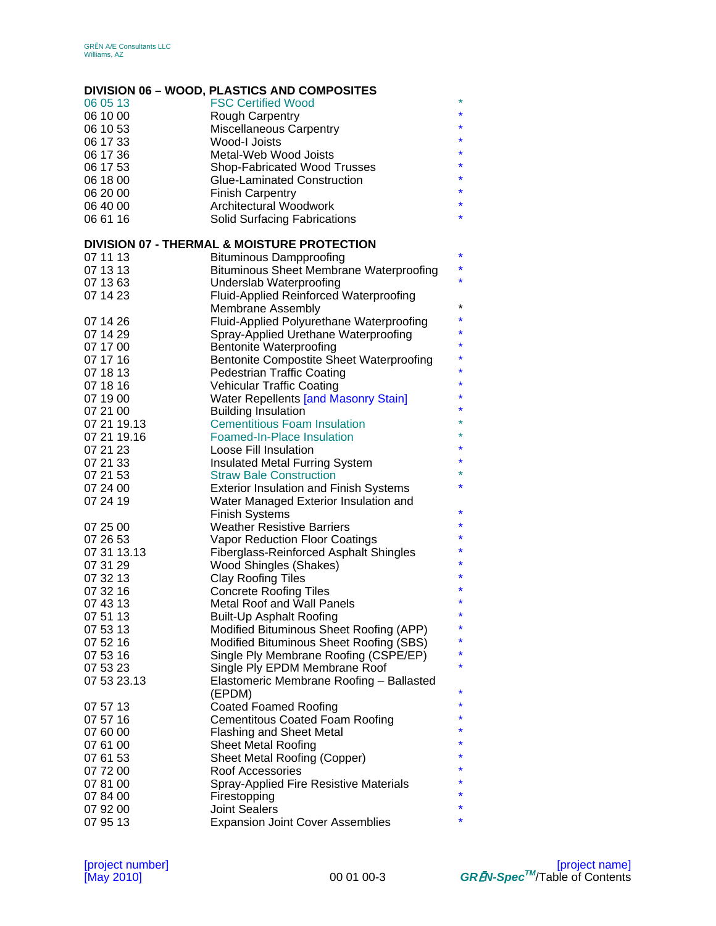# **DIVISION 06 – WOOD, PLASTICS AND COMPOSITES**

| 06 05 13    | <b>FSC Certified Wood</b>                              | *       |
|-------------|--------------------------------------------------------|---------|
| 06 10 00    | <b>Rough Carpentry</b>                                 | $\star$ |
| 06 10 53    | <b>Miscellaneous Carpentry</b>                         | *       |
| 06 17 33    | Wood-I Joists                                          | *       |
| 06 17 36    | Metal-Web Wood Joists                                  |         |
| 06 17 53    | Shop-Fabricated Wood Trusses                           |         |
| 06 18 00    | Glue-Laminated Construction                            |         |
| 06 20 00    | <b>Finish Carpentry</b>                                |         |
| 06 40 00    | Architectural Woodwork                                 | $\star$ |
| 06 61 16    | <b>Solid Surfacing Fabrications</b>                    | *       |
|             |                                                        |         |
|             | <b>DIVISION 07 - THERMAL &amp; MOISTURE PROTECTION</b> |         |
| 07 11 13    | <b>Bituminous Dampproofing</b>                         | $\star$ |
| 07 13 13    | <b>Bituminous Sheet Membrane Waterproofing</b>         | $\star$ |
| 07 13 63    | Underslab Waterproofing                                | ×,      |
| 07 14 23    |                                                        |         |
|             | <b>Fluid-Applied Reinforced Waterproofing</b>          | $\star$ |
|             | <b>Membrane Assembly</b>                               | $\ast$  |
| 07 14 26    | Fluid-Applied Polyurethane Waterproofing               | $\star$ |
| 07 14 29    | Spray-Applied Urethane Waterproofing                   | $\star$ |
| 07 17 00    | <b>Bentonite Waterproofing</b>                         | ×,      |
| 07 17 16    | <b>Bentonite Compostite Sheet Waterproofing</b>        |         |
| 07 18 13    | <b>Pedestrian Traffic Coating</b>                      | ×,      |
| 07 18 16    | <b>Vehicular Traffic Coating</b>                       | $\ast$  |
| 07 19 00    | <b>Water Repellents [and Masonry Stain]</b>            |         |
| 07 21 00    | <b>Building Insulation</b>                             | $\ast$  |
| 07 21 19.13 | <b>Cementitious Foam Insulation</b>                    | $\ast$  |
| 07 21 19.16 | <b>Foamed-In-Place Insulation</b>                      | *       |
| 07 21 23    | Loose Fill Insulation                                  | $\star$ |
| 07 21 33    | <b>Insulated Metal Furring System</b>                  | $\star$ |
| 07 21 53    | <b>Straw Bale Construction</b>                         |         |
| 07 24 00    | <b>Exterior Insulation and Finish Systems</b>          | $\ast$  |
| 07 24 19    | Water Managed Exterior Insulation and                  |         |
|             | <b>Finish Systems</b>                                  | $\star$ |
| 07 25 00    | <b>Weather Resistive Barriers</b>                      | *       |
| 07 26 53    | Vapor Reduction Floor Coatings                         | $\star$ |
| 07 31 13.13 | <b>Fiberglass-Reinforced Asphalt Shingles</b>          |         |
| 07 31 29    | Wood Shingles (Shakes)                                 | $\ast$  |
| 07 32 13    |                                                        | $\ast$  |
| 07 32 16    | <b>Clay Roofing Tiles</b>                              | *       |
|             | <b>Concrete Roofing Tiles</b>                          | *       |
| 07 43 13    | Metal Roof and Wall Panels                             | $\ast$  |
| 07 51 13    | <b>Built-Up Asphalt Roofing</b>                        | *       |
| 07 53 13    | Modified Bituminous Sheet Roofing (APP)                | $\star$ |
| 07 52 16    | Modified Bituminous Sheet Roofing (SBS)                |         |
| 07 53 16    | Single Ply Membrane Roofing (CSPE/EP)                  | $\star$ |
| 07 53 23    | Single Ply EPDM Membrane Roof                          | ¥       |
| 07 53 23.13 | Elastomeric Membrane Roofing - Ballasted               |         |
|             | (EPDM)                                                 | $\star$ |
| 07 57 13    | <b>Coated Foamed Roofing</b>                           | *       |
| 07 57 16    | <b>Cementitous Coated Foam Roofing</b>                 |         |
| 07 60 00    | <b>Flashing and Sheet Metal</b>                        | *       |
| 07 61 00    | <b>Sheet Metal Roofing</b>                             | *       |
| 07 61 53    | <b>Sheet Metal Roofing (Copper)</b>                    |         |
| 07 72 00    | Roof Accessories                                       | *       |
| 07 81 00    | <b>Spray-Applied Fire Resistive Materials</b>          |         |
| 07 84 00    | Firestopping                                           |         |
| 07 92 00    | <b>Joint Sealers</b>                                   | *       |
| 07 95 13    | <b>Expansion Joint Cover Assemblies</b>                | ¥       |
|             |                                                        |         |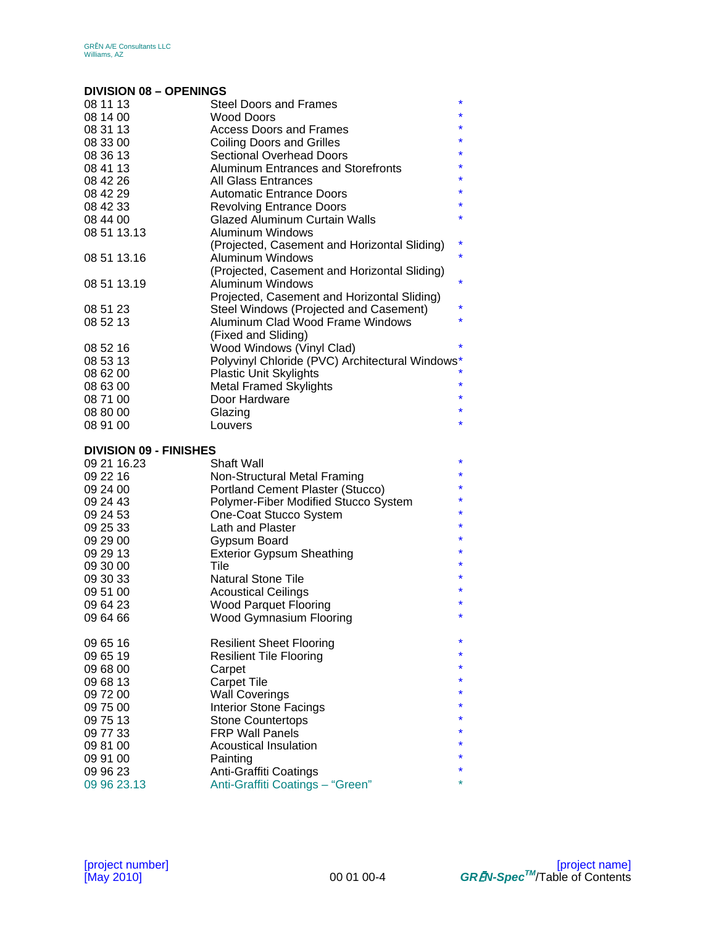## **DIVISION 08 – OPENINGS**

| 08 11 13                      | <b>Steel Doors and Frames</b>                   | $\star$ |
|-------------------------------|-------------------------------------------------|---------|
| 08 14 00                      | <b>Wood Doors</b>                               | $\ast$  |
| 08 31 13                      | Access Doors and Frames                         | $\star$ |
| 08 33 00                      | <b>Coiling Doors and Grilles</b>                | $\star$ |
| 08 36 13                      | <b>Sectional Overhead Doors</b>                 | $\star$ |
| 08 41 13                      | Aluminum Entrances and Storefronts              | $\star$ |
| 08 42 26                      | All Glass Entrances                             |         |
| 08 42 29                      | <b>Automatic Entrance Doors</b>                 | $\star$ |
| 08 42 33                      | <b>Revolving Entrance Doors</b>                 | $\star$ |
| 08 44 00                      | <b>Glazed Aluminum Curtain Walls</b>            | $\star$ |
| 08 51 13.13                   | Aluminum Windows                                |         |
|                               | (Projected, Casement and Horizontal Sliding)    |         |
| 08 51 13.16                   | Aluminum Windows                                | $\star$ |
|                               | (Projected, Casement and Horizontal Sliding)    |         |
| 08 51 13.19                   | Aluminum Windows                                | $\star$ |
|                               | Projected, Casement and Horizontal Sliding)     |         |
| 08 51 23                      | Steel Windows (Projected and Casement)          | $\star$ |
| 08 52 13                      | Aluminum Clad Wood Frame Windows                | $\star$ |
|                               | (Fixed and Sliding)                             |         |
| 08 52 16                      | Wood Windows (Vinyl Clad)                       | $\ast$  |
| 08 53 13                      | Polyvinyl Chloride (PVC) Architectural Windows* |         |
| 08 62 00                      | <b>Plastic Unit Skylights</b>                   |         |
| 08 63 00                      | <b>Metal Framed Skylights</b>                   |         |
| 08 71 00                      | Door Hardware                                   | *       |
| 08 80 00                      | Glazing                                         | $\star$ |
| 08 91 00                      | Louvers                                         | $\star$ |
|                               |                                                 |         |
| <b>DIVISION 09 - FINISHES</b> |                                                 |         |
| 09 21 16.23                   | <b>Shaft Wall</b>                               | *       |
| 09 22 16                      | Non-Structural Metal Framing                    | $\star$ |
| 09 24 00                      | Portland Cement Plaster (Stucco)                |         |
| 09 24 43                      | Polymer-Fiber Modified Stucco System            | $\star$ |
| 09 24 53                      | One-Coat Stucco System                          | $\star$ |

| 00 <del>בו</del> טט | One Oodt Otacco Oystem           |         |
|---------------------|----------------------------------|---------|
| 09 25 33            | Lath and Plaster                 | $\star$ |
| 09 29 00            | Gypsum Board                     | $\star$ |
| 09 29 13            | <b>Exterior Gypsum Sheathing</b> | $\star$ |
| 09 30 00            | Tile                             | $\star$ |
| 09 30 33            | Natural Stone Tile               | $\star$ |
| 09 51 00            | <b>Acoustical Ceilings</b>       | $\star$ |
| 09 64 23            | <b>Wood Parquet Flooring</b>     | $\star$ |
| 09 64 66            | Wood Gymnasium Flooring          | $\star$ |
|                     |                                  | $\star$ |
| 09 65 16            | Resilient Sheet Flooring         |         |
| 09 65 19            | Resilient Tile Flooring          | $\star$ |
| 09 68 00            | Carpet                           | $\star$ |
| 09 68 13            | Carpet Tile                      | $\star$ |
| 09 72 00            | <b>Wall Coverings</b>            | $\star$ |
| 09 75 00            | Interior Stone Facings           | $\star$ |
| 09 75 13            | <b>Stone Countertops</b>         | $\star$ |
| 09 77 33            | <b>FRP Wall Panels</b>           | $\star$ |
| 09 81 00            | Acoustical Insulation            | $\star$ |
| 09 91 00            | Painting                         | $\star$ |
| 09 96 23            | Anti-Graffiti Coatings           | $\star$ |
| 09 96 23.13         | Anti-Graffiti Coatings - "Green" | $\star$ |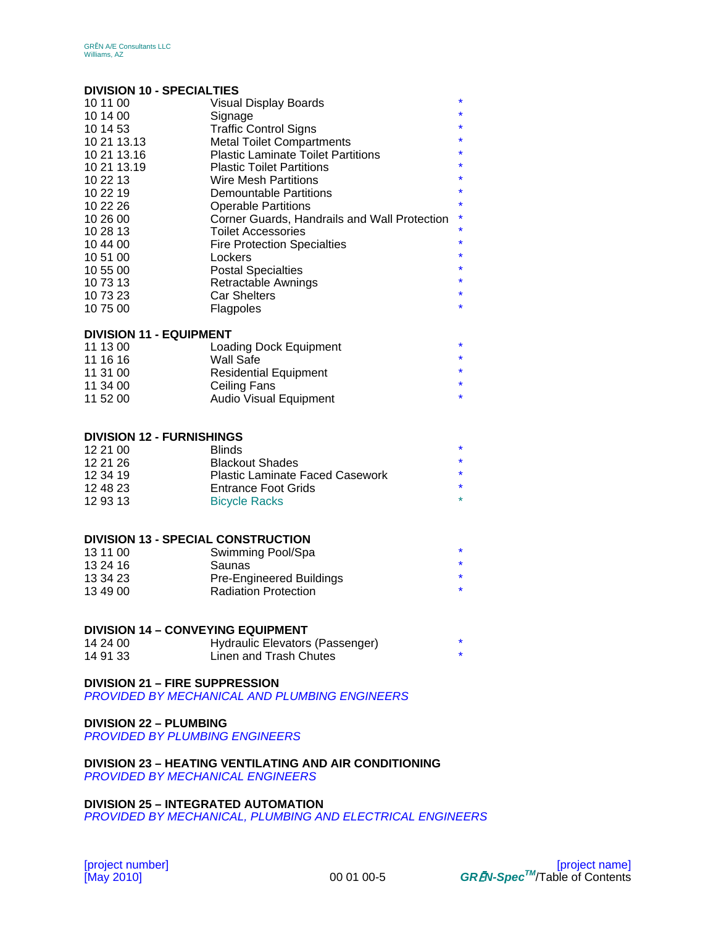## **DIVISION 10 - SPECIALTIES**

| PRODUCED TO TREAD THE PRODUCED THE P |                                              |         |
|--------------------------------------|----------------------------------------------|---------|
| 10 11 00                             | <b>Visual Display Boards</b>                 | $\star$ |
| 10 14 00                             | Signage                                      | $\star$ |
| 10 14 53                             | <b>Traffic Control Signs</b>                 | $\star$ |
| 10 21 13.13                          | <b>Metal Toilet Compartments</b>             | $\star$ |
| 10 21 13.16                          | <b>Plastic Laminate Toilet Partitions</b>    | $\star$ |
| 10 21 13.19                          | <b>Plastic Toilet Partitions</b>             | $\star$ |
| 10 22 13                             | <b>Wire Mesh Partitions</b>                  | $\star$ |
| 10 22 19                             | <b>Demountable Partitions</b>                | $\star$ |
| 10 22 26                             | <b>Operable Partitions</b>                   | $\star$ |
| 10 26 00                             | Corner Guards, Handrails and Wall Protection | $\ast$  |
| 10 28 13                             | <b>Toilet Accessories</b>                    | $\star$ |
| 10 44 00                             | <b>Fire Protection Specialties</b>           | $\star$ |
| 10 51 00                             | Lockers                                      | $\star$ |
| 10 55 00                             | <b>Postal Specialties</b>                    | $\star$ |
| 10 73 13                             | Retractable Awnings                          | $\star$ |
| 10 73 23                             | <b>Car Shelters</b>                          | $\star$ |
| 10 75 00                             | Flagpoles                                    | $\star$ |
|                                      |                                              |         |

### **DIVISION 11 - EQUIPMENT**

| 11 13 00 | Loading Dock Equipment        |         |
|----------|-------------------------------|---------|
| 11 16 16 | Wall Safe                     | $\star$ |
| 11 31 00 | <b>Residential Equipment</b>  | $\star$ |
| 11 34 00 | Ceiling Fans                  | $\star$ |
| 11 52 00 | <b>Audio Visual Equipment</b> |         |

### **DIVISION 12 - FURNISHINGS**

| 12 21 00 | <b>Blinds</b>                          |         |
|----------|----------------------------------------|---------|
| 12 21 26 | <b>Blackout Shades</b>                 | $\star$ |
| 12 34 19 | <b>Plastic Laminate Faced Casework</b> | $\star$ |
| 12 48 23 | Entrance Foot Grids                    | $\star$ |
| 12 93 13 | <b>Bicycle Racks</b>                   | $\star$ |

## **DIVISION 13 - SPECIAL CONSTRUCTION**

| 13 11 00 | Swimming Pool/Spa               |  |
|----------|---------------------------------|--|
| 13 24 16 | Saunas                          |  |
| 13 34 23 | <b>Pre-Engineered Buildings</b> |  |
| 13 49 00 | <b>Radiation Protection</b>     |  |

### **DIVISION 14 – CONVEYING EQUIPMENT**

| 14 24 00 | Hydraulic Elevators (Passenger) |  |
|----------|---------------------------------|--|
| 14 91 33 | Linen and Trash Chutes          |  |

### **DIVISION 21 – FIRE SUPPRESSION**

*PROVIDED BY MECHANICAL AND PLUMBING ENGINEERS* 

## **DIVISION 22 – PLUMBING**

*PROVIDED BY PLUMBING ENGINEERS* 

**DIVISION 23 – HEATING VENTILATING AND AIR CONDITIONING**  *PROVIDED BY MECHANICAL ENGINEERS* 

## **DIVISION 25 – INTEGRATED AUTOMATION**

*PROVIDED BY MECHANICAL, PLUMBING AND ELECTRICAL ENGINEERS*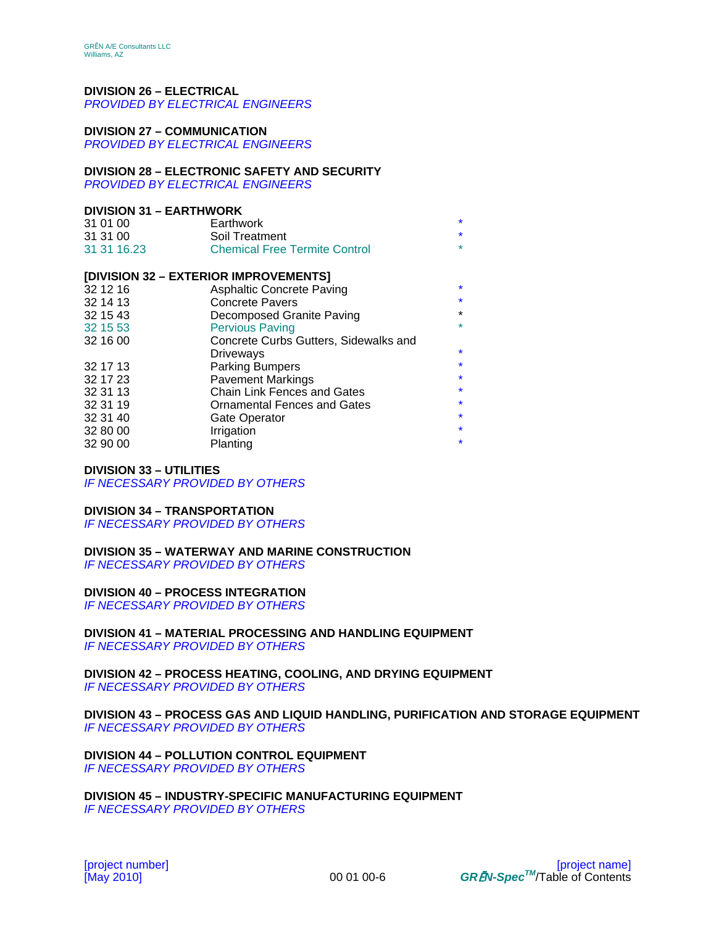# **DIVISION 26 – ELECTRICAL**

*PROVIDED BY ELECTRICAL ENGINEERS* 

### **DIVISION 27 – COMMUNICATION**

*PROVIDED BY ELECTRICAL ENGINEERS* 

### **DIVISION 28 – ELECTRONIC SAFETY AND SECURITY**

*PROVIDED BY ELECTRICAL ENGINEERS* 

### **DIVISION 31 – EARTHWORK**

| 31 01 00    | Earthwork                            |         |
|-------------|--------------------------------------|---------|
| 31 31 00    | Soil Treatment                       |         |
| 31 31 16.23 | <b>Chemical Free Termite Control</b> | $\star$ |

### **[DIVISION 32 – EXTERIOR IMPROVEMENTS]**

| 32 12 16 | <b>Asphaltic Concrete Paving</b>      | $\star$ |
|----------|---------------------------------------|---------|
| 32 14 13 | <b>Concrete Pavers</b>                | $\star$ |
| 32 15 43 | Decomposed Granite Paving             | $\star$ |
| 32 15 53 | <b>Pervious Paving</b>                | $\star$ |
| 32 16 00 | Concrete Curbs Gutters, Sidewalks and |         |
|          | <b>Driveways</b>                      | $\star$ |
| 32 17 13 | <b>Parking Bumpers</b>                | $\star$ |
| 32 17 23 | <b>Pavement Markings</b>              | $\star$ |
| 32 31 13 | <b>Chain Link Fences and Gates</b>    | $\star$ |
| 32 31 19 | <b>Ornamental Fences and Gates</b>    | $\star$ |
| 32 31 40 | Gate Operator                         | $\star$ |
| 32 80 00 | Irrigation                            | $\star$ |
| 32 90 00 | Planting                              | $\star$ |
|          |                                       |         |

### **DIVISION 33 – UTILITIES**

*IF NECESSARY PROVIDED BY OTHERS* 

### **DIVISION 34 – TRANSPORTATION**

*IF NECESSARY PROVIDED BY OTHERS* 

### **DIVISION 35 – WATERWAY AND MARINE CONSTRUCTION**

*IF NECESSARY PROVIDED BY OTHERS* 

### **DIVISION 40 – PROCESS INTEGRATION**

*IF NECESSARY PROVIDED BY OTHERS* 

#### **DIVISION 41 – MATERIAL PROCESSING AND HANDLING EQUIPMENT** *IF NECESSARY PROVIDED BY OTHERS*

### **DIVISION 42 – PROCESS HEATING, COOLING, AND DRYING EQUIPMENT** *IF NECESSARY PROVIDED BY OTHERS*

**DIVISION 43 – PROCESS GAS AND LIQUID HANDLING, PURIFICATION AND STORAGE EQUIPMENT** *IF NECESSARY PROVIDED BY OTHERS* 

**DIVISION 44 – POLLUTION CONTROL EQUIPMENT** *IF NECESSARY PROVIDED BY OTHERS* 

**DIVISION 45 – INDUSTRY-SPECIFIC MANUFACTURING EQUIPMENT** *IF NECESSARY PROVIDED BY OTHERS*